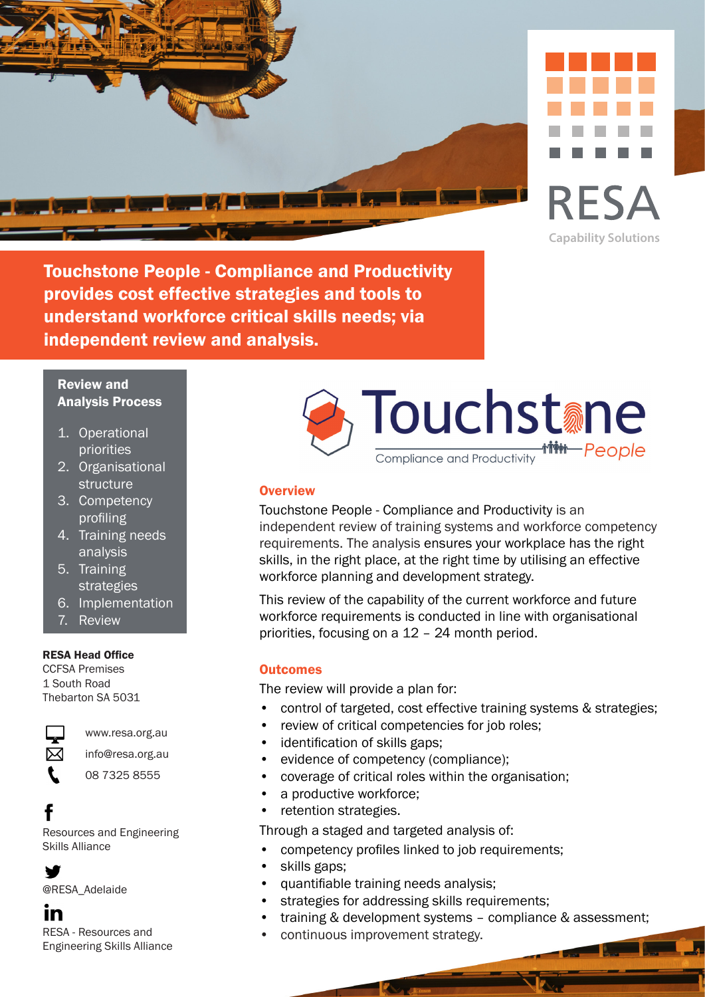



Touchstone People - Compliance and Productivity provides cost effective strategies and tools to understand workforce critical skills needs; via independent review and analysis.

# Review and Analysis Process

- 1. Operational priorities
- 2. Organisational structure
- 3. Competency profiling
- 4. Training needs analysis
- 5. Training strategies
- 6. Implementation
- 7. Review

## RESA Head Office

CCFSA Premises 1 South Road Thebarton SA 5031



L

## www.resa.org.au

- info@resa.org.au
	- 08 7325 8555

Resources and Engineering Skills Alliance



@RESA\_Adelaide

# in

RESA - Resources and Engineering Skills Alliance



# **Overview**

Touchstone People - Compliance and Productivity is an independent review of training systems and workforce competency requirements. The analysis ensures your workplace has the right skills, in the right place, at the right time by utilising an effective workforce planning and development strategy.

This review of the capability of the current workforce and future workforce requirements is conducted in line with organisational priorities, focusing on a 12 – 24 month period.

# **Outcomes**

The review will provide a plan for:

- control of targeted, cost effective training systems & strategies;
- review of critical competencies for job roles;
- identification of skills gaps;
- evidence of competency (compliance);
- coverage of critical roles within the organisation;
- a productive workforce;
- retention strategies.

Through a staged and targeted analysis of:

- competency profiles linked to job requirements;
- skills gaps:
- quantifiable training needs analysis;
- strategies for addressing skills requirements;
- training & development systems compliance & assessment;
- continuous improvement strategy.